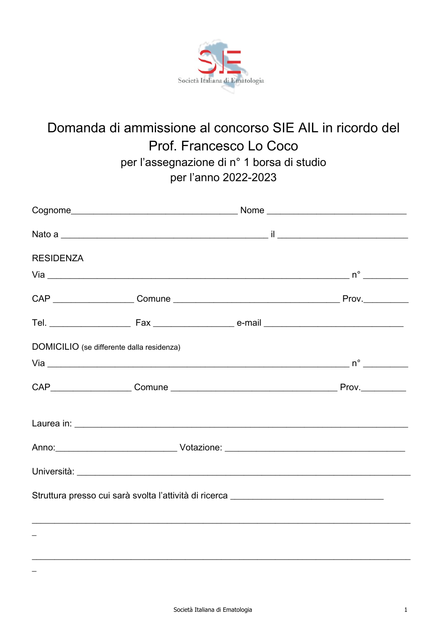

## Domanda di ammissione al concorso SIE AIL in ricordo del Prof. Francesco Lo Coco per l'assegnazione di n° 1 borsa di studio per l'anno 2022-2023

| <b>RESIDENZA</b>                                                                 |  |                                                                                                                                                                                                                                |  |
|----------------------------------------------------------------------------------|--|--------------------------------------------------------------------------------------------------------------------------------------------------------------------------------------------------------------------------------|--|
|                                                                                  |  |                                                                                                                                                                                                                                |  |
|                                                                                  |  |                                                                                                                                                                                                                                |  |
|                                                                                  |  |                                                                                                                                                                                                                                |  |
| DOMICILIO (se differente dalla residenza)                                        |  |                                                                                                                                                                                                                                |  |
|                                                                                  |  |                                                                                                                                                                                                                                |  |
|                                                                                  |  |                                                                                                                                                                                                                                |  |
|                                                                                  |  |                                                                                                                                                                                                                                |  |
|                                                                                  |  | Anno: 2008 - 2009 - 2010 - 2010 - 2010 - 2010 - 2010 - 2010 - 2010 - 2010 - 2010 - 2010 - 2010 - 2010 - 2010 - 2010 - 2010 - 2010 - 2010 - 2010 - 2010 - 2010 - 2010 - 2010 - 2010 - 2010 - 2010 - 2010 - 2010 - 2010 - 2010 - |  |
|                                                                                  |  | Università: Università: Università: Università: Università: Università: Università: Università: Università: Un                                                                                                                 |  |
| Struttura presso cui sarà svolta l'attività di ricerca _________________________ |  |                                                                                                                                                                                                                                |  |
|                                                                                  |  |                                                                                                                                                                                                                                |  |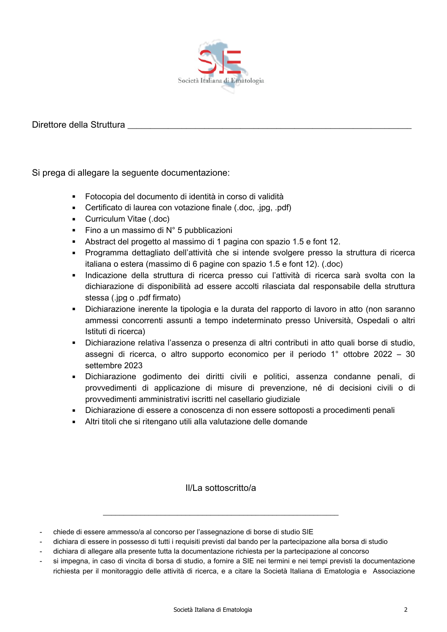

## Direttore della Struttura entrarectionale della Struttura

Si prega di allegare la seguente documentazione:

- Fotocopia del documento di identità in corso di validità
- Certificato di laurea con votazione finale (.doc, .jpg, .pdf)
- Curriculum Vitae (.doc)
- Fino a un massimo di N° 5 pubblicazioni
- Abstract del progetto al massimo di 1 pagina con spazio 1.5 e font 12.
- Programma dettagliato dell'attività che si intende svolgere presso la struttura di ricerca italiana o estera (massimo di 6 pagine con spazio 1.5 e font 12). (.doc)
- Indicazione della struttura di ricerca presso cui l'attività di ricerca sarà svolta con la dichiarazione di disponibilità ad essere accolti rilasciata dal responsabile della struttura stessa (.jpg o .pdf firmato)
- Dichiarazione inerente la tipologia e la durata del rapporto di lavoro in atto (non saranno ammessi concorrenti assunti a tempo indeterminato presso Università, Ospedali o altri Istituti di ricerca)
- Dichiarazione relativa l'assenza o presenza di altri contributi in atto quali borse di studio. assegni di ricerca, o altro supporto economico per il periodo 1° ottobre 2022 – 30 settembre 2023
- · Dichiarazione godimento dei diritti civili e politici, assenza condanne penali, di provvedimenti di applicazione di misure di prevenzione, né di decisioni civili o di provvedimenti amministrativi iscritti nel casellario giudiziale
- Dichiarazione di essere a conoscenza di non essere sottoposti a procedimenti penali
- Altri titoli che si ritengano utili alla valutazione delle domande

II/La sottoscritto/a

chiede di essere ammesso/a al concorso per l'assegnazione di borse di studio SIE

si impegna, in caso di vincita di borsa di studio, a fornire a SIE nei termini e nei tempi previsti la documentazione richiesta per il monitoraggio delle attività di ricerca, e a citare la Società Italiana di Ematologia e Associazione

dichiara di essere in possesso di tutti i requisiti previsti dal bando per la partecipazione alla borsa di studio

dichiara di allegare alla presente tutta la documentazione richiesta per la partecipazione al concorso